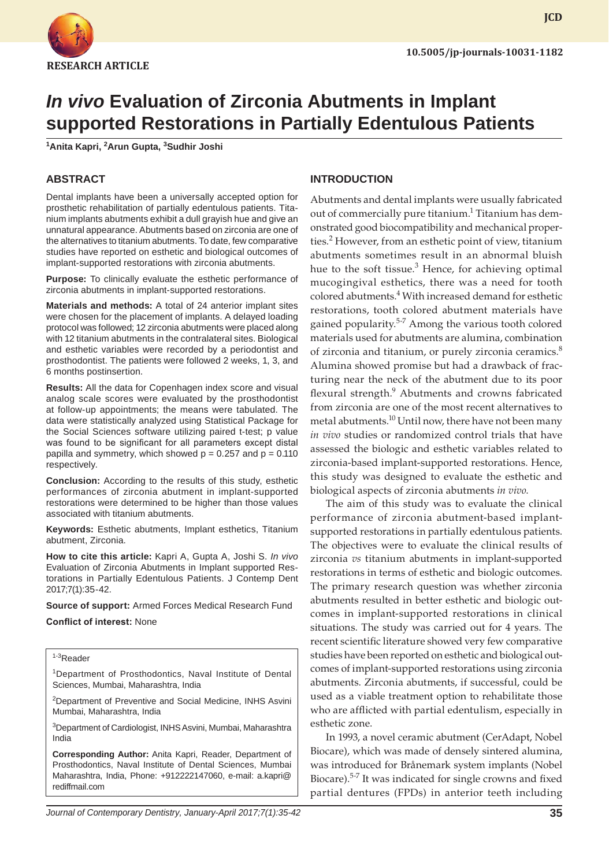

# *In vivo* **Evaluation of Zirconia Abutments in Implant supported Restorations in Partially Edentulous Patients**

**1 Anita Kapri, 2 Arun Gupta, 3 Sudhir Joshi**

# **ABSTRACT**

Dental implants have been a universally accepted option for prosthetic rehabilitation of partially edentulous patients. Titanium implants abutments exhibit a dull grayish hue and give an unnatural appearance. Abutments based on zirconia are one of the alternatives to titanium abutments. To date, few comparative studies have reported on esthetic and biological outcomes of implant-supported restorations with zirconia abutments.

**Purpose:** To clinically evaluate the esthetic performance of zirconia abutments in implant-supported restorations.

**Materials and methods:** A total of 24 anterior implant sites were chosen for the placement of implants. A delayed loading protocol was followed; 12 zirconia abutments were placed along with 12 titanium abutments in the contralateral sites. Biological and esthetic variables were recorded by a periodontist and prosthodontist. The patients were followed 2 weeks, 1, 3, and 6 months postinsertion.

**Results:** All the data for Copenhagen index score and visual analog scale scores were evaluated by the prosthodontist at follow-up appointments; the means were tabulated. The data were statistically analyzed using Statistical Package for the Social Sciences software utilizing paired t-test; p value was found to be significant for all parameters except distal papilla and symmetry, which showed  $p = 0.257$  and  $p = 0.110$ respectively.

**Conclusion:** According to the results of this study, esthetic performances of zirconia abutment in implant-supported restorations were determined to be higher than those values associated with titanium abutments.

**Keywords:** Esthetic abutments, Implant esthetics, Titanium abutment, Zirconia.

**How to cite this article:** Kapri A, Gupta A, Joshi S. *In vivo* Evaluation of Zirconia Abutments in Implant supported Restorations in Partially Edentulous Patients. J Contemp Dent 2017;7(1):35-42.

**Source of support:** Armed Forces Medical Research Fund

**Conflict of interest:** None

# 1-3Reader

<sup>1</sup>Department of Prosthodontics, Naval Institute of Dental Sciences, Mumbai, Maharashtra, India

<sup>2</sup>Department of Preventive and Social Medicine, INHS Asvini Mumbai, Maharashtra, India

<sup>3</sup>Department of Cardiologist, INHS Asvini, Mumbai, Maharashtra India

**Corresponding Author:** Anita Kapri, Reader, Department of Prosthodontics, Naval Institute of Dental Sciences, Mumbai Maharashtra, India, Phone: +912222147060, e-mail: a.kapri@ rediffmail.com

# **INTRODUCTION**

Abutments and dental implants were usually fabricated out of commercially pure titanium.<sup>1</sup> Titanium has demonstrated good biocompatibility and mechanical properties.<sup>2</sup> However, from an esthetic point of view, titanium abutments sometimes result in an abnormal bluish hue to the soft tissue.<sup>3</sup> Hence, for achieving optimal mucogingival esthetics, there was a need for tooth colored abutments.<sup>4</sup> With increased demand for esthetic restorations, tooth colored abutment materials have gained popularity.<sup>5-7</sup> Among the various tooth colored materials used for abutments are alumina, combination of zirconia and titanium, or purely zirconia ceramics.<sup>8</sup> Alumina showed promise but had a drawback of fracturing near the neck of the abutment due to its poor flexural strength.<sup>9</sup> Abutments and crowns fabricated from zirconia are one of the most recent alternatives to metal abutments.<sup>10</sup> Until now, there have not been many *in vivo* studies or randomized control trials that have assessed the biologic and esthetic variables related to zirconia-based implant-supported restorations. Hence, this study was designed to evaluate the esthetic and biological aspects of zirconia abutments *in vivo*.

The aim of this study was to evaluate the clinical performance of zirconia abutment-based implantsupported restorations in partially edentulous patients. The objectives were to evaluate the clinical results of zirconia *vs* titanium abutments in implant-supported restorations in terms of esthetic and biologic outcomes. The primary research question was whether zirconia abutments resulted in better esthetic and biologic outcomes in implant-supported restorations in clinical situations. The study was carried out for 4 years. The recent scientific literature showed very few comparative studies have been reported on esthetic and biological outcomes of implant-supported restorations using zirconia abutments. Zirconia abutments, if successful, could be used as a viable treatment option to rehabilitate those who are afflicted with partial edentulism, especially in esthetic zone.

In 1993, a novel ceramic abutment (CerAdapt, Nobel Biocare), which was made of densely sintered alumina, was introduced for Brånemark system implants (Nobel Biocare).<sup>5-7</sup> It was indicated for single crowns and fixed partial dentures (FPDs) in anterior teeth including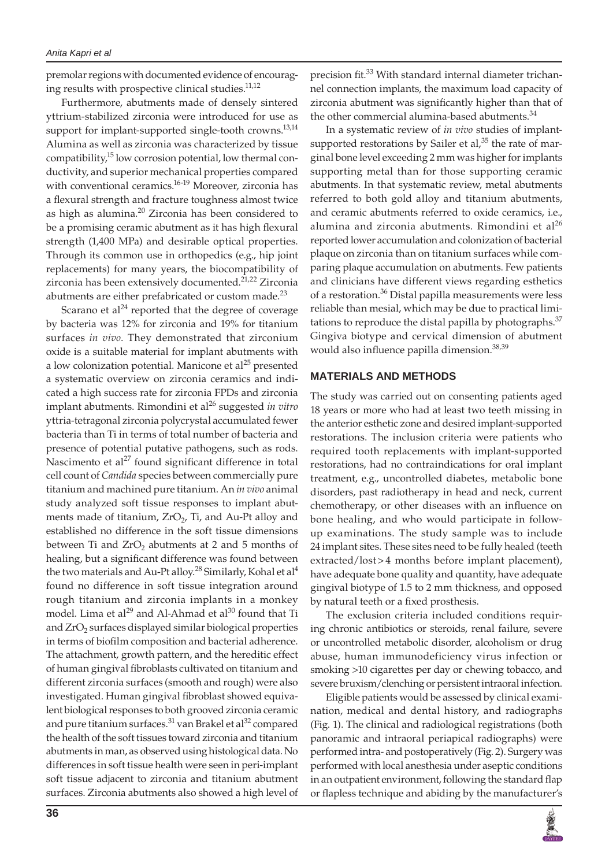premolar regions with documented evidence of encouraging results with prospective clinical studies. $^{11,12}$ 

Furthermore, abutments made of densely sintered yttrium-stabilized zirconia were introduced for use as support for implant-supported single-tooth crowns.<sup>13,14</sup> Alumina as well as zirconia was characterized by tissue compatibility,<sup>15</sup> low corrosion potential, low thermal conductivity, and superior mechanical properties compared with conventional ceramics.<sup>16-19</sup> Moreover, zirconia has a flexural strength and fracture toughness almost twice as high as alumina.<sup>20</sup> Zirconia has been considered to be a promising ceramic abutment as it has high flexural strength (1,400 MPa) and desirable optical properties. Through its common use in orthopedics (e.g., hip joint replacements) for many years, the biocompatibility of zirconia has been extensively documented.<sup>21,22</sup> Zirconia abutments are either prefabricated or custom made.<sup>23</sup>

Scarano et al $^{24}$  reported that the degree of coverage by bacteria was 12% for zirconia and 19% for titanium surfaces *in vivo*. They demonstrated that zirconium oxide is a suitable material for implant abutments with a low colonization potential. Manicone et al<sup>25</sup> presented a systematic overview on zirconia ceramics and indicated a high success rate for zirconia FPDs and zirconia implant abutments. Rimondini et al<sup>26</sup> suggested *in vitro* yttria-tetragonal zirconia polycrystal accumulated fewer bacteria than Ti in terms of total number of bacteria and presence of potential putative pathogens, such as rods. Nascimento et al<sup>27</sup> found significant difference in total cell count of *Candida* species between commercially pure titanium and machined pure titanium. An *in vivo* animal study analyzed soft tissue responses to implant abutments made of titanium,  $ZrO<sub>2</sub>$ , Ti, and Au-Pt alloy and established no difference in the soft tissue dimensions between Ti and  $ZrO<sub>2</sub>$  abutments at 2 and 5 months of healing, but a significant difference was found between the two materials and Au-Pt alloy.<sup>28</sup> Similarly, Kohal et al<sup>4</sup> found no difference in soft tissue integration around rough titanium and zirconia implants in a monkey model. Lima et al<sup>29</sup> and Al-Ahmad et al<sup>30</sup> found that Ti and  $ZrO<sub>2</sub>$  surfaces displayed similar biological properties in terms of biofilm composition and bacterial adherence. The attachment, growth pattern, and the hereditic effect of human gingival fibroblasts cultivated on titanium and different zirconia surfaces (smooth and rough) were also investigated. Human gingival fibroblast showed equivalent biological responses to both grooved zirconia ceramic and pure titanium surfaces.<sup>31</sup> van Brakel et al<sup>32</sup> compared the health of the soft tissues toward zirconia and titanium abutments in man, as observed using histological data. No differences in soft tissue health were seen in peri-implant soft tissue adjacent to zirconia and titanium abutment surfaces. Zirconia abutments also showed a high level of

precision fit.<sup>33</sup> With standard internal diameter trichannel connection implants, the maximum load capacity of zirconia abutment was significantly higher than that of the other commercial alumina-based abutments.<sup>34</sup>

In a systematic review of *in vivo* studies of implantsupported restorations by Sailer et al,<sup>35</sup> the rate of marginal bone level exceeding 2 mm was higher for implants supporting metal than for those supporting ceramic abutments. In that systematic review, metal abutments referred to both gold alloy and titanium abutments, and ceramic abutments referred to oxide ceramics, i.e., alumina and zirconia abutments. Rimondini et al $^{26}$ reported lower accumulation and colonization of bacterial plaque on zirconia than on titanium surfaces while comparing plaque accumulation on abutments. Few patients and clinicians have different views regarding esthetics of a restoration.<sup>36</sup> Distal papilla measurements were less reliable than mesial, which may be due to practical limitations to reproduce the distal papilla by photographs.<sup>37</sup> Gingiva biotype and cervical dimension of abutment would also influence papilla dimension.<sup>38,39</sup>

#### **MATERIALS AND METHODS**

The study was carried out on consenting patients aged 18 years or more who had at least two teeth missing in the anterior esthetic zone and desired implant-supported restorations. The inclusion criteria were patients who required tooth replacements with implant-supported restorations, had no contraindications for oral implant treatment, e.g., uncontrolled diabetes, metabolic bone disorders, past radiotherapy in head and neck, current chemotherapy, or other diseases with an influence on bone healing, and who would participate in followup examinations. The study sample was to include 24 implant sites. These sites need to be fully healed (teeth extracted/lost>4 months before implant placement), have adequate bone quality and quantity, have adequate gingival biotype of 1.5 to 2 mm thickness, and opposed by natural teeth or a fixed prosthesis.

The exclusion criteria included conditions requiring chronic antibiotics or steroids, renal failure, severe or uncontrolled metabolic disorder, alcoholism or drug abuse, human immunodeficiency virus infection or smoking >10 cigarettes per day or chewing tobacco, and severe bruxism/clenching or persistent intraoral infection.

Eligible patients would be assessed by clinical examination, medical and dental history, and radiographs (Fig. 1). The clinical and radiological registrations (both panoramic and intraoral periapical radiographs) were performed intra- and postoperatively (Fig. 2). Surgery was performed with local anesthesia under aseptic conditions in an outpatient environment, following the standard flap or flapless technique and abiding by the manufacturer's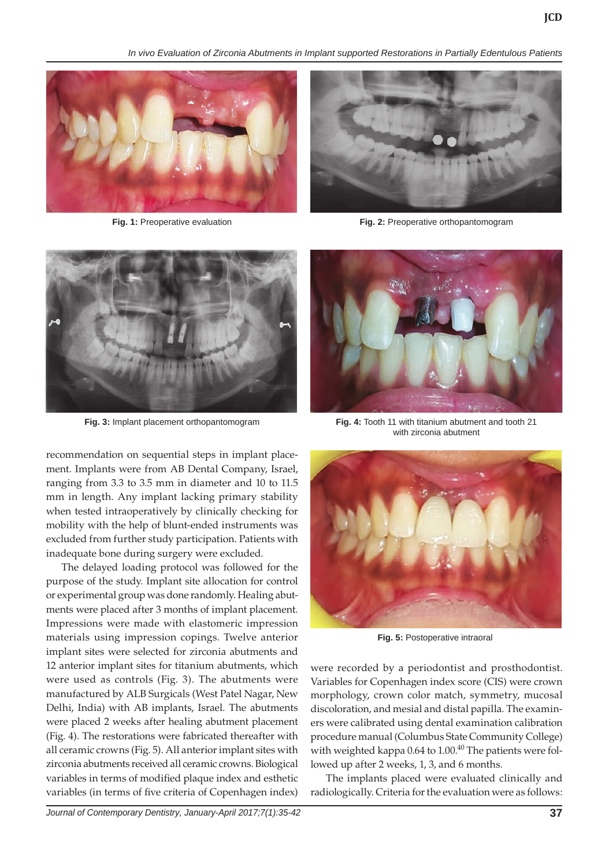*In vivo Evaluation of Zirconia Abutments in Implant supported Restorations in Partially Edentulous Patients*





recommendation on sequential steps in implant placement. Implants were from AB Dental Company, Israel, ranging from 3.3 to 3.5 mm in diameter and 10 to 11.5 mm in length. Any implant lacking primary stability when tested intraoperatively by clinically checking for mobility with the help of blunt-ended instruments was excluded from further study participation. Patients with inadequate bone during surgery were excluded.

The delayed loading protocol was followed for the purpose of the study. Implant site allocation for control or experimental group was done randomly. Healing abutments were placed after 3 months of implant placement. Impressions were made with elastomeric impression materials using impression copings. Twelve anterior implant sites were selected for zirconia abutments and 12 anterior implant sites for titanium abutments, which were used as controls (Fig. 3). The abutments were manufactured by ALB Surgicals (West Patel Nagar, New Delhi, India) with AB implants, Israel. The abutments were placed 2 weeks after healing abutment placement (Fig. 4). The restorations were fabricated thereafter with all ceramic crowns (Fig. 5). All anterior implant sites with zirconia abutments received all ceramic crowns. Biological variables in terms of modified plaque index and esthetic variables (in terms of five criteria of Copenhagen index)



**Fig. 3:** Implant placement orthopantomogram **Fig. 4:** Tooth 11 with titanium abutment and tooth 21 with zirconia abutment



**Fig. 5:** Postoperative intraoral

were recorded by a periodontist and prosthodontist. Variables for Copenhagen index score (CIS) were crown morphology, crown color match, symmetry, mucosal discoloration, and mesial and distal papilla. The examiners were calibrated using dental examination calibration procedure manual (Columbus State Community College) with weighted kappa  $0.64$  to  $1.00$ .<sup>40</sup> The patients were followed up after 2 weeks, 1, 3, and 6 months.

The implants placed were evaluated clinically and radiologically. Criteria for the evaluation were as follows: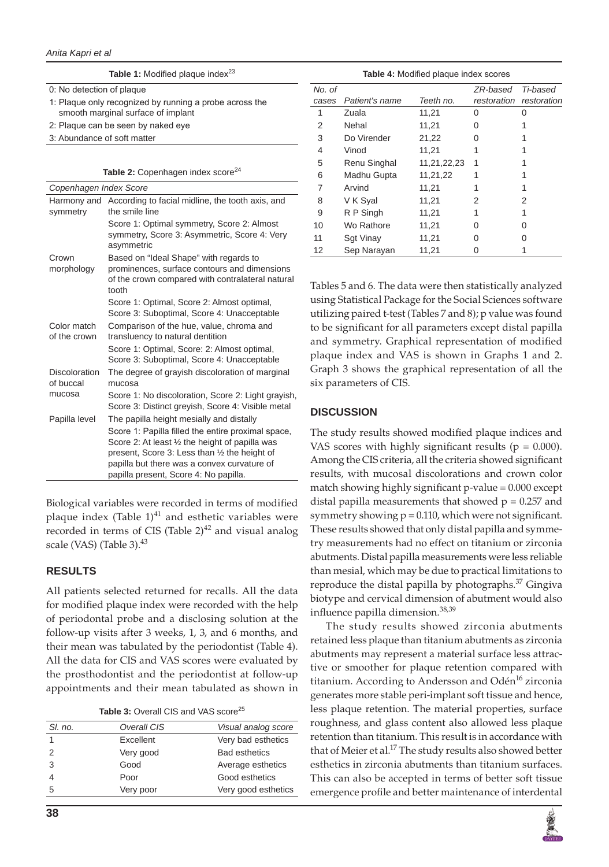#### *Anita Kapri et al*

**Table 1:** Modified plaque index<sup>23</sup>

0: No detection of plaque

- 1: Plaque only recognized by running a probe across the smooth marginal surface of implant
- 2: Plaque can be seen by naked eye
- 3: Abundance of soft matter

**Table 2:** Copenhagen index score<sup>24</sup>

|                             | Copenhagen Index Score                                                                                                                                                                                                                         |  |  |  |  |  |  |  |
|-----------------------------|------------------------------------------------------------------------------------------------------------------------------------------------------------------------------------------------------------------------------------------------|--|--|--|--|--|--|--|
| Harmony and<br>symmetry     | According to facial midline, the tooth axis, and<br>the smile line                                                                                                                                                                             |  |  |  |  |  |  |  |
|                             | Score 1: Optimal symmetry, Score 2: Almost<br>symmetry, Score 3: Asymmetric, Score 4: Very<br>asymmetric                                                                                                                                       |  |  |  |  |  |  |  |
| Crown<br>morphology         | Based on "Ideal Shape" with regards to<br>prominences, surface contours and dimensions<br>of the crown compared with contralateral natural<br>tooth                                                                                            |  |  |  |  |  |  |  |
|                             | Score 1: Optimal, Score 2: Almost optimal,<br>Score 3: Suboptimal, Score 4: Unacceptable                                                                                                                                                       |  |  |  |  |  |  |  |
| Color match<br>of the crown | Comparison of the hue, value, chroma and<br>transluency to natural dentition                                                                                                                                                                   |  |  |  |  |  |  |  |
|                             | Score 1: Optimal, Score: 2: Almost optimal,<br>Score 3: Suboptimal, Score 4: Unacceptable                                                                                                                                                      |  |  |  |  |  |  |  |
| Discoloration<br>of buccal  | The degree of grayish discoloration of marginal<br>mucosa                                                                                                                                                                                      |  |  |  |  |  |  |  |
| mucosa                      | Score 1: No discoloration, Score 2: Light grayish,<br>Score 3: Distinct greyish, Score 4: Visible metal                                                                                                                                        |  |  |  |  |  |  |  |
| Papilla level               | The papilla height mesially and distally                                                                                                                                                                                                       |  |  |  |  |  |  |  |
|                             | Score 1: Papilla filled the entire proximal space,<br>Score 2: At least 1/2 the height of papilla was<br>present, Score 3: Less than 1/2 the height of<br>papilla but there was a convex curvature of<br>papilla present, Score 4: No papilla. |  |  |  |  |  |  |  |

Biological variables were recorded in terms of modified plaque index (Table  $1$ )<sup>41</sup> and esthetic variables were recorded in terms of CIS (Table  $2)^{42}$  and visual analog scale (VAS) (Table 3). $43$ 

## **RESULTS**

All patients selected returned for recalls. All the data for modified plaque index were recorded with the help of periodontal probe and a disclosing solution at the follow-up visits after 3 weeks, 1, 3, and 6 months, and their mean was tabulated by the periodontist (Table 4). All the data for CIS and VAS scores were evaluated by the prosthodontist and the periodontist at follow-up appointments and their mean tabulated as shown in

| Table 3: Overall CIS and VAS score <sup>25</sup> |  |  |  |  |  |
|--------------------------------------------------|--|--|--|--|--|
|--------------------------------------------------|--|--|--|--|--|

| SI, no. | Overall CIS | Visual analog score  |
|---------|-------------|----------------------|
|         | Excellent   | Very bad esthetics   |
|         | Very good   | <b>Bad esthetics</b> |
| 3       | Good        | Average esthetics    |
|         | Poor        | Good esthetics       |
| 5       | Very poor   | Very good esthetics  |
|         |             |                      |

| ral  | Tables 5 and 6. The data were then statistically analyzed   |
|------|-------------------------------------------------------------|
|      | using Statistical Package for the Social Sciences software  |
|      | utilizing paired t-test (Tables 7 and 8); p value was found |
|      | to be significant for all parameters except distal papilla  |
|      | and symmetry. Graphical representation of modified          |
|      | plaque index and VAS is shown in Graphs 1 and 2.            |
| al   | Graph 3 shows the graphical representation of all the       |
|      | six parameters of CIS.                                      |
| ish, |                                                             |
| :al  | <b>DISCUSSION</b>                                           |
|      |                                                             |

*No. of* 

The study results showed modified plaque indices and VAS scores with highly significant results ( $p = 0.000$ ). Among the CIS criteria, all the criteria showed significant results, with mucosal discolorations and crown color match showing highly significant p-value = 0.000 except distal papilla measurements that showed  $p = 0.257$  and symmetry showing  $p = 0.110$ , which were not significant. These results showed that only distal papilla and symmetry measurements had no effect on titanium or zirconia abutments. Distal papilla measurements were less reliable than mesial, which may be due to practical limitations to reproduce the distal papilla by photographs. $37$  Gingiva biotype and cervical dimension of abutment would also influence papilla dimension.<sup>38,39</sup>

**Table 4:** Modified plaque index scores

1 Zuala 11,21 0 0 2 Nehal 11,21 0 1 3 Do Virender 21,22 0 1 4 Vinod 11,21 1 1 5 Renu Singhal 11,21,22,23 1 1 6 Madhu Gupta 11,21,22 1 1 7 Arvind 11,21 1 1 8 V K Syal 11,21 2 2 9 R P Singh 11,21 1 1 10 Wo Rathore 11,21 0 0 11 Sgt Vinay 11,21 0 0 12 Sep Narayan 11,21 0 1

*cases Patient's name Teeth no.*

*ZR-based* 

*restoration restoration*

*Ti-based* 

The study results showed zirconia abutments retained less plaque than titanium abutments as zirconia abutments may represent a material surface less attractive or smoother for plaque retention compared with titanium. According to Andersson and Odén<sup>16</sup> zirconia generates more stable peri-implant soft tissue and hence, less plaque retention. The material properties, surface roughness, and glass content also allowed less plaque retention than titanium. This result is in accordance with that of Meier et al.<sup>17</sup> The study results also showed better esthetics in zirconia abutments than titanium surfaces. This can also be accepted in terms of better soft tissue emergence profile and better maintenance of interdental

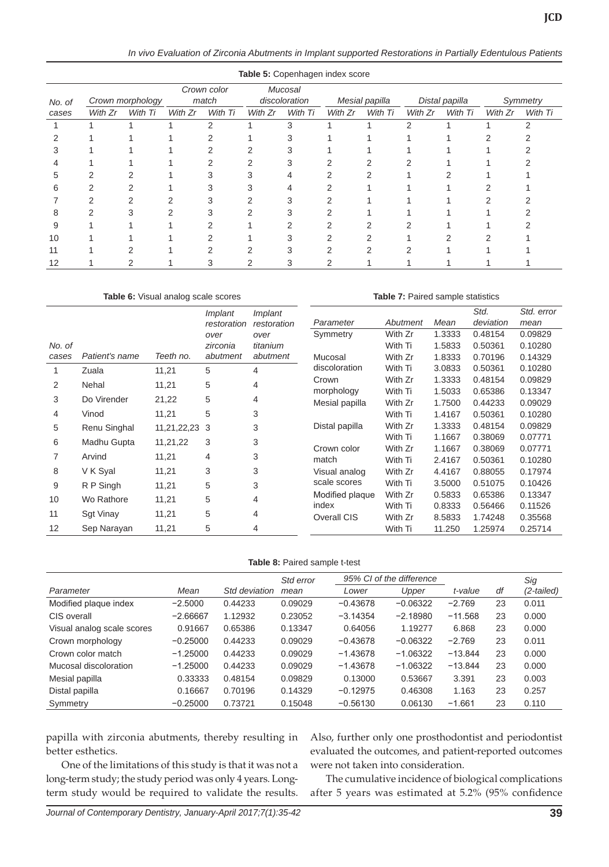*In vivo Evaluation of Zirconia Abutments in Implant supported Restorations in Partially Edentulous Patients*

| Table 5: Copenhagen index score |                  |         |                      |         |                          |         |                |         |                |         |          |         |
|---------------------------------|------------------|---------|----------------------|---------|--------------------------|---------|----------------|---------|----------------|---------|----------|---------|
| No. of                          | Crown morphology |         | Crown color<br>match |         | Mucosal<br>discoloration |         | Mesial papilla |         | Distal papilla |         | Symmetry |         |
| cases                           | With Zr          | With Ti | With Zr              | With Ti | With Zr                  | With Ti | With Zr        | With Ti | With Zr        | With Ti | With Zr  | With Ti |
|                                 |                  |         |                      | っ       |                          | 3       |                |         | 2              |         |          |         |
|                                 |                  |         |                      |         |                          |         |                |         |                |         |          |         |
|                                 |                  |         |                      |         |                          |         |                |         |                |         |          |         |
|                                 |                  |         |                      |         | ◠                        |         |                |         |                |         |          |         |
|                                 |                  |         |                      |         |                          |         |                |         |                |         |          |         |
| 6                               |                  |         |                      |         |                          |         |                |         |                |         |          |         |
|                                 |                  |         |                      |         |                          |         |                |         |                |         |          |         |
| 8                               |                  |         |                      |         | 2                        |         |                |         |                |         |          |         |
| 9                               |                  |         |                      |         |                          |         |                |         |                |         |          |         |
| 10                              |                  |         |                      |         |                          |         |                |         |                |         |          |         |
| 11                              |                  |         |                      |         | ◠                        | ◠       | C              |         |                |         |          |         |
| 12                              |                  |         |                      |         |                          |         |                |         |                |         |          |         |

#### **Table 6:** Visual analog scale scores

**Table 7:** Paired sample statistics

|        |                  |             | <i>Implant</i> | <i>Implant</i> |                 |          |        | Std.      | Std. error |
|--------|------------------|-------------|----------------|----------------|-----------------|----------|--------|-----------|------------|
|        |                  |             | restoration    | restoration    | Parameter       | Abutment | Mean   | deviation | mean       |
|        |                  |             | over           | over           | Symmetry        | With Zr  | 1.3333 | 0.48154   | 0.09829    |
| No. of |                  |             | zirconia       | titanium       |                 | With Ti  | 1.5833 | 0.50361   | 0.10280    |
| cases  | Patient's name   | Teeth no.   | abutment       | abutment       | Mucosal         | With Zr  | 1.8333 | 0.70196   | 0.14329    |
|        | Zuala            | 11,21       | 5              | 4              | discoloration   | With Ti  | 3.0833 | 0.50361   | 0.10280    |
| 2      | Nehal            | 11,21       | 5              | 4              | Crown           | With Zr  | 1.3333 | 0.48154   | 0.09829    |
|        |                  |             |                |                | morphology      | With Ti  | 1.5033 | 0.65386   | 0.13347    |
| 3      | Do Virender      | 21,22       | 5<br>4         |                | Mesial papilla  | With Zr  | 1.7500 | 0.44233   | 0.09029    |
| 4      | Vinod            | 11,21       | 5              | 3              |                 | With Ti  | 1.4167 | 0.50361   | 0.10280    |
| 5      | Renu Singhal     | 11,21,22,23 | 3              | 3              | Distal papilla  | With Zr  | 1.3333 | 0.48154   | 0.09829    |
| 6      | Madhu Gupta      | 11,21,22    | 3              | 3              |                 | With Ti  | 1.1667 | 0.38069   | 0.07771    |
|        |                  |             |                |                | Crown color     | With Zr  | 1.1667 | 0.38069   | 0.07771    |
| 7      | Arvind           | 11,21       | 4              | 3              | match           | With Ti  | 2.4167 | 0.50361   | 0.10280    |
| 8      | V K Syal         | 11,21       | 3              | 3              | Visual analog   | With Zr  | 4.4167 | 0.88055   | 0.17974    |
| 9      | R P Singh        | 11,21       | 5              | 3              | scale scores    | With Ti  | 3.5000 | 0.51075   | 0.10426    |
| 10     | Wo Rathore       | 11,21       | 5              | 4              | Modified plaque | With Zr  | 0.5833 | 0.65386   | 0.13347    |
|        |                  |             |                |                | index           | With Ti  | 0.8333 | 0.56466   | 0.11526    |
| 11     | <b>Sgt Vinay</b> | 11,21       | 5              | 4              | Overall CIS     | With Zr  | 8.5833 | 1.74248   | 0.35568    |
| 12     | Sep Narayan      | 11,21       | 5              | 4              |                 | With Ti  | 11.250 | 1.25974   | 0.25714    |

#### **Table 8:** Paired sample t-test

|                            |            |               | Std error |            | 95% CI of the difference |           |    | Sig        |
|----------------------------|------------|---------------|-----------|------------|--------------------------|-----------|----|------------|
| Parameter                  | Mean       | Std deviation | mean      | Lower      | Upper                    | t-value   | df | (2-tailed) |
| Modified plaque index      | $-2.5000$  | 0.44233       | 0.09029   | $-0.43678$ | $-0.06322$               | $-2.769$  | 23 | 0.011      |
| CIS overall                | $-2.66667$ | 1.12932       | 0.23052   | $-3.14354$ | $-2.18980$               | $-11.568$ | 23 | 0.000      |
| Visual analog scale scores | 0.91667    | 0.65386       | 0.13347   | 0.64056    | 1.19277                  | 6.868     | 23 | 0.000      |
| Crown morphology           | $-0.25000$ | 0.44233       | 0.09029   | $-0.43678$ | $-0.06322$               | $-2.769$  | 23 | 0.011      |
| Crown color match          | $-1.25000$ | 0.44233       | 0.09029   | $-1.43678$ | $-1.06322$               | $-13.844$ | 23 | 0.000      |
| Mucosal discoloration      | $-1.25000$ | 0.44233       | 0.09029   | $-1.43678$ | $-1.06322$               | $-13.844$ | 23 | 0.000      |
| Mesial papilla             | 0.33333    | 0.48154       | 0.09829   | 0.13000    | 0.53667                  | 3.391     | 23 | 0.003      |
| Distal papilla             | 0.16667    | 0.70196       | 0.14329   | $-0.12975$ | 0.46308                  | 1.163     | 23 | 0.257      |
| Symmetry                   | $-0.25000$ | 0.73721       | 0.15048   | $-0.56130$ | 0.06130                  | $-1.661$  | 23 | 0.110      |

papilla with zirconia abutments, thereby resulting in better esthetics.

One of the limitations of this study is that it was not a long-term study; the study period was only 4 years. Longterm study would be required to validate the results.

Also, further only one prosthodontist and periodontist evaluated the outcomes, and patient-reported outcomes were not taken into consideration.

The cumulative incidence of biological complications after 5 years was estimated at 5.2% (95% confidence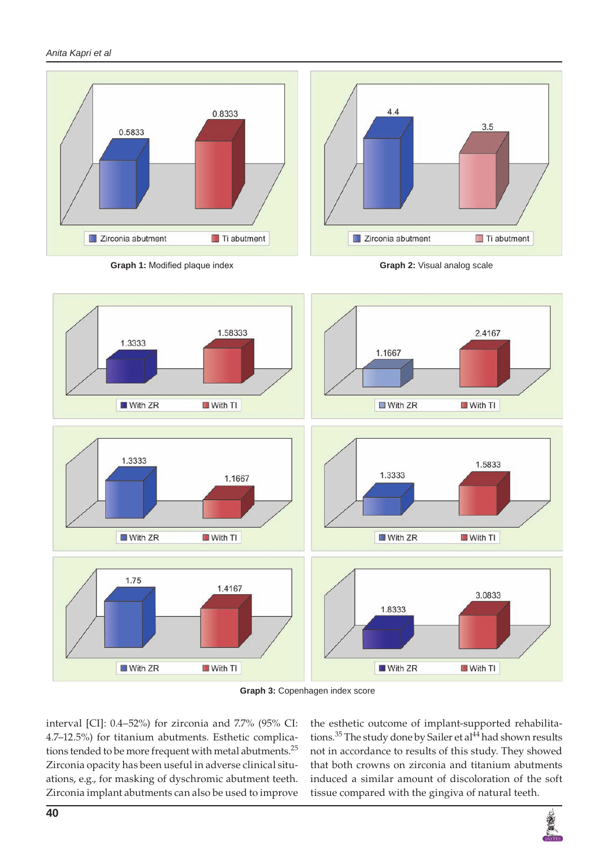*Anita Kapri et al*





**Graph 3:** Copenhagen index score

interval [CI]: 0.4–52%) for zirconia and 7.7% (95% CI: 4.7–12.5%) for titanium abutments. Esthetic complications tended to be more frequent with metal abutments.<sup>25</sup> Zirconia opacity has been useful in adverse clinical situations, e.g., for masking of dyschromic abutment teeth. Zirconia implant abutments can also be used to improve

the esthetic outcome of implant-supported rehabilitations.<sup>35</sup> The study done by Sailer et al<sup>44</sup> had shown results not in accordance to results of this study. They showed that both crowns on zirconia and titanium abutments induced a similar amount of discoloration of the soft tissue compared with the gingiva of natural teeth.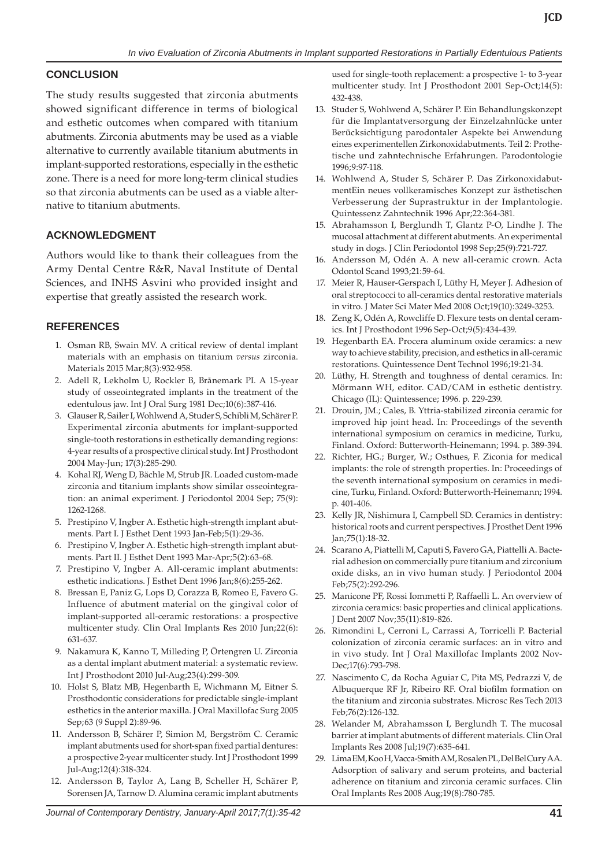## **CONCLUSION**

The study results suggested that zirconia abutments showed significant difference in terms of biological and esthetic outcomes when compared with titanium abutments. Zirconia abutments may be used as a viable alternative to currently available titanium abutments in implant-supported restorations, especially in the esthetic zone. There is a need for more long-term clinical studies so that zirconia abutments can be used as a viable alternative to titanium abutments.

## **ACKNOWLEDGMENT**

Authors would like to thank their colleagues from the Army Dental Centre R&R, Naval Institute of Dental Sciences, and INHS Asvini who provided insight and expertise that greatly assisted the research work.

# **REFERENCES**

- 1. Osman RB, Swain MV. A critical review of dental implant materials with an emphasis on titanium *versus* zirconia. Materials 2015 Mar;8(3):932-958.
- 2. Adell R, Lekholm U, Rockler B, Brånemark PI. A 15-year study of osseointegrated implants in the treatment of the edentulous jaw. Int J Oral Surg 1981 Dec;10(6):387-416.
- 3. Glauser R, Sailer I, Wohlwend A, Studer S, Schibli M, Schärer P. Experimental zirconia abutments for implant-supported single-tooth restorations in esthetically demanding regions: 4-year results of a prospective clinical study. Int J Prosthodont 2004 May-Jun; 17(3):285-290.
- 4. Kohal RJ, Weng D, Bächle M, Strub JR. Loaded custom-made zirconia and titanium implants show similar osseointegration: an animal experiment. J Periodontol 2004 Sep; 75(9): 1262-1268.
- 5. Prestipino V, Ingber A. Esthetic high-strength implant abutments. Part I. J Esthet Dent 1993 Jan-Feb;5(1):29-36.
- 6. Prestipino V, Ingber A. Esthetic high-strength implant abutments. Part II. J Esthet Dent 1993 Mar-Apr;5(2):63-68.
- 7. Prestipino V, Ingber A. All-ceramic implant abutments: esthetic indications. J Esthet Dent 1996 Jan;8(6):255-262.
- 8. Bressan E, Paniz G, Lops D, Corazza B, Romeo E, Favero G. Influence of abutment material on the gingival color of implant-supported all-ceramic restorations: a prospective multicenter study. Clin Oral Implants Res 2010 Jun;22(6): 631-637.
- 9. Nakamura K, Kanno T, Milleding P, Örtengren U. Zirconia as a dental implant abutment material: a systematic review. Int J Prosthodont 2010 Jul-Aug;23(4):299-309.
- 10. Holst S, Blatz MB, Hegenbarth E, Wichmann M, Eitner S. Prosthodontic considerations for predictable single-implant esthetics in the anterior maxilla. J Oral Maxillofac Surg 2005 Sep;63 (9 Suppl 2):89-96.
- 11. Andersson B, Schärer P, Simion M, Bergström C. Ceramic implant abutments used for short-span fixed partial dentures: a prospective 2-year multicenter study. Int J Prosthodont 1999 Jul-Aug;12(4):318-324.
- 12. Andersson B, Taylor A, Lang B, Scheller H, Schärer P, Sorensen JA, Tarnow D. Alumina ceramic implant abutments

used for single-tooth replacement: a prospective 1- to 3-year multicenter study. Int J Prosthodont 2001 Sep-Oct;14(5): 432-438.

- 13. Studer S, Wohlwend A, Schärer P. Ein Behandlungskonzept für die Implantatversorgung der Einzelzahnlücke unter Berücksichtigung parodontaler Aspekte bei Anwendung eines experimentellen Zirkonoxidabutments. Teil 2: Prothetische und zahntechnische Erfahrungen. Parodontologie 1996;9:97-118.
- 14. Wohlwend A, Studer S, Schärer P. Das ZirkonoxidabutmentEin neues vollkeramisches Konzept zur ästhetischen Verbesserung der Suprastruktur in der Implantologie. Quintessenz Zahntechnik 1996 Apr;22:364-381.
- 15. Abrahamsson I, Berglundh T, Glantz P-O, Lindhe J. The mucosal attachment at different abutments. An experimental study in dogs. J Clin Periodontol 1998 Sep;25(9):721-727.
- 16. Andersson M, Odén A. A new all-ceramic crown. Acta Odontol Scand 1993;21:59-64.
- 17. Meier R, Hauser-Gerspach I, Lüthy H, Meyer J. Adhesion of oral streptococci to all-ceramics dental restorative materials in vitro. J Mater Sci Mater Med 2008 Oct;19(10):3249-3253.
- 18. Zeng K, Odén A, Rowcliffe D. Flexure tests on dental ceramics. Int J Prosthodont 1996 Sep-Oct;9(5):434-439.
- 19. Hegenbarth EA. Procera aluminum oxide ceramics: a new way to achieve stability, precision, and esthetics in all-ceramic restorations. Quintessence Dent Technol 1996;19:21-34.
- 20. Lüthy, H. Strength and toughness of dental ceramics. In: Mörmann WH, editor. CAD/CAM in esthetic dentistry. Chicago (IL): Quintessence; 1996. p. 229-239.
- 21. Drouin, JM.; Cales, B. Yttria-stabilized zirconia ceramic for improved hip joint head. In: Proceedings of the seventh international symposium on ceramics in medicine, Turku, Finland. Oxford: Butterworth-Heinemann; 1994. p. 389-394.
- 22. Richter, HG.; Burger, W.; Osthues, F. Ziconia for medical implants: the role of strength properties. In: Proceedings of the seventh international symposium on ceramics in medicine, Turku, Finland. Oxford: Butterworth-Heinemann; 1994. p. 401-406.
- 23. Kelly JR, Nishimura I, Campbell SD. Ceramics in dentistry: historical roots and current perspectives. J Prosthet Dent 1996 Jan;75(1):18-32.
- 24. Scarano A, Piattelli M, Caputi S, Favero GA, Piattelli A. Bacterial adhesion on commercially pure titanium and zirconium oxide disks, an in vivo human study. J Periodontol 2004 Feb;75(2):292-296.
- 25. Manicone PF, Rossi Iommetti P, Raffaelli L. An overview of zirconia ceramics: basic properties and clinical applications. J Dent 2007 Nov;35(11):819-826.
- 26. Rimondini L, Cerroni L, Carrassi A, Torricelli P. Bacterial colonization of zirconia ceramic surfaces: an in vitro and in vivo study. Int J Oral Maxillofac Implants 2002 Nov-Dec;17(6):793-798.
- 27. Nascimento C, da Rocha Aguiar C, Pita MS, Pedrazzi V, de Albuquerque RF Jr, Ribeiro RF. Oral biofilm formation on the titanium and zirconia substrates. Microsc Res Tech 2013 Feb;76(2):126-132.
- 28. Welander M, Abrahamsson I, Berglundh T. The mucosal barrier at implant abutments of different materials. Clin Oral Implants Res 2008 Jul;19(7):635-641.
- 29. Lima EM, Koo H, Vacca-Smith AM, Rosalen PL, Del Bel Cury AA. Adsorption of salivary and serum proteins, and bacterial adherence on titanium and zirconia ceramic surfaces. Clin Oral Implants Res 2008 Aug;19(8):780-785.